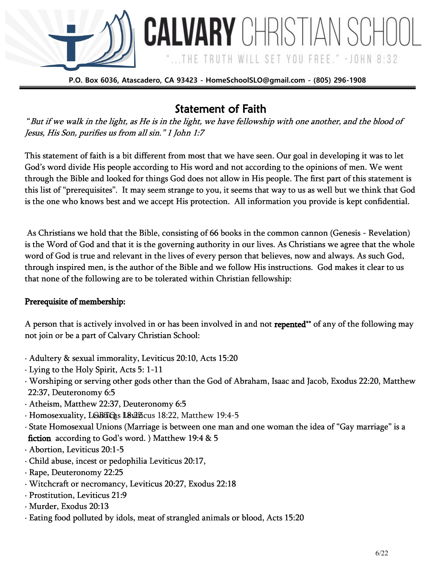

**CALVARY** CHRISTIAN SCH

...THE TRUTH WILL SET YOU FREE." -JOHN 8:32

## Statement of Faith

 "But if we walk in the light, as He is in the light, we have fellowship with one another, and the blood of Jesus, His Son, purifies us from all sin." 1 John 1:7

This statement of faith is a bit different from most that we have seen. Our goal in developing it was to let God's word divide His people according to His word and not according to the opinions of men. We went through the Bible and looked for things God does not allow in His people. The first part of this statement is this list of "prerequisites". It may seem strange to you, it seems that way to us as well but we think that God is the one who knows best and we accept His protection. All information you provide is kept confidential.

As Christians we hold that the Bible, consisting of 66 books in the common cannon (Genesis - Revelation) is the Word of God and that it is the governing authority in our lives. As Christians we agree that the whole word of God is true and relevant in the lives of every person that believes, now and always. As such God, through inspired men, is the author of the Bible and we follow His instructions. God makes it clear to us that none of the following are to be tolerated within Christian fellowship:

### Prerequisite of membership:

A person that is actively involved in or has been involved in and not **repented**\*\* of any of the following may not join or be a part of Calvary Christian School:

- · Adultery & sexual immorality, Leviticus 20:10, Acts 15:20
- · Lying to the Holy Spirit, Acts 5: 1-11
- · Worshiping or serving other gods other than the God of Abraham, Isaac and Jacob, Exodus 22:20, Matthew 22:37, Deuteronomy 6:5
- · Atheism, Matthew 22:37, Deuteronomy 6:5
- $\cdot$  Homosexuality, L&BtTQts L8x2Picus 18:22, Matthew 19:4-5
- · State Homosexual Unions (Marriage is between one man and one woman the idea of "Gay marriage" is a fiction according to God's word. ) Matthew 19:4 & 5
- · Abortion, Leviticus 20:1-5
- · Child abuse, incest or pedophilia Leviticus 20:17,
- · Rape, Deuteronomy 22:25
- · Witchcraft or necromancy, Leviticus 20:27, Exodus 22:18
- · Prostitution, Leviticus 21:9
- · Murder, Exodus 20:13
- · Eating food polluted by idols, meat of strangled animals or blood, Acts 15:20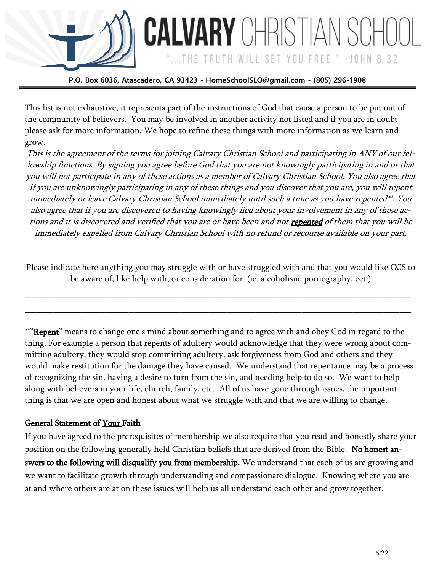

**CALVARY** CHRISTIAN S

...THE TRUTH WILL SET YOU FREE." - JOHN 8:32

This list is not exhaustive, it represents part of the instructions of God that cause a person to be put out of the community of believers. You may be involved in another activity not listed and if you are in doubt please ask for more information. We hope to refine these things with more information as we learn and grow.

This is the agreement of the terms for joining Calvary Christian School and participating in ANY of our fellowship functions. By signing you agree before God that you are not knowingly participating in and or that you will not participate in any of these actions as a member of Calvary Christian School. You also agree that if you are unknowingly participating in any of these things and you discover that you are, you will repent immediately or leave Calvary Christian School immediately until such a time as you have repented\*\*. You also agree that if you are discovered to having knowingly lied about your involvement in any of these actions and it is discovered and verified that you are or have been and not repented of them that you will be immediately expelled from Calvary Christian School with no refund or recourse available on your part.

Please indicate here anything you may struggle with or have struggled with and that you would like CCS to be aware of, like help with, or consideration for. (ie. alcoholism, pornography, ect.)

\_\_\_\_\_\_\_\_\_\_\_\_\_\_\_\_\_\_\_\_\_\_\_\_\_\_\_\_\_\_\_\_\_\_\_\_\_\_\_\_\_\_\_\_\_\_\_\_\_\_\_\_\_\_\_\_\_\_\_\_\_\_\_\_\_\_\_

\_\_\_\_\_\_\_\_\_\_\_\_\_\_\_\_\_\_\_\_\_\_\_\_\_\_\_\_\_\_\_\_\_\_\_\_\_\_\_\_\_\_\_\_\_\_\_\_\_\_\_\_\_\_\_\_\_\_\_\_\_\_\_\_\_\_\_

\*\*"Repent" means to change one's mind about something and to agree with and obey God in regard to the thing. For example a person that repents of adultery would acknowledge that they were wrong about committing adultery, they would stop committing adultery, ask forgiveness from God and others and they would make restitution for the damage they have caused. We understand that repentance may be a process of recognizing the sin, having a desire to turn from the sin, and needing help to do so. We want to help along with believers in your life, church, family, etc. All of us have gone through issues, the important thing is that we are open and honest about what we struggle with and that we are willing to change.

### General Statement of Your Faith

If you have agreed to the prerequisites of membership we also require that you read and honestly share your position on the following generally held Christian beliefs that are derived from the Bible. No honest answers to the following will disqualify you from membership. We understand that each of us are growing and we want to facilitate growth through understanding and compassionate dialogue. Knowing where you are at and where others are at on these issues will help us all understand each other and grow together.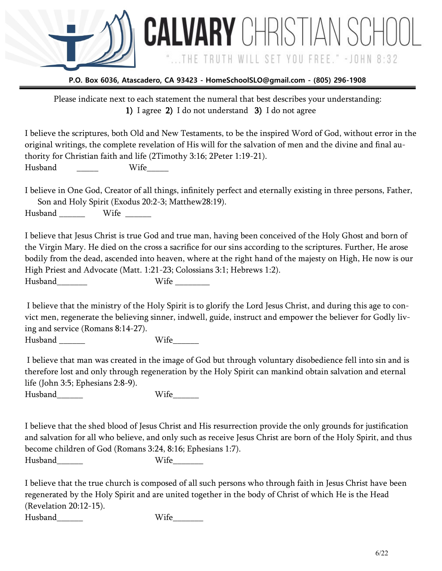

**CALVARY** CHRISTIAN SCH

...THE TRUTH WILL SET YOU FREE." -JOHN 8:32

Please indicate next to each statement the numeral that best describes your understanding: 1) I agree 2) I do not understand 3) I do not agree

I believe the scriptures, both Old and New Testaments, to be the inspired Word of God, without error in the original writings, the complete revelation of His will for the salvation of men and the divine and final authority for Christian faith and life (2Timothy 3:16; 2Peter 1:19-21). Husband Wife

I believe in One God, Creator of all things, infinitely perfect and eternally existing in three persons, Father, Son and Holy Spirit (Exodus 20:2-3; Matthew28:19).

Husband \_\_\_\_\_\_\_\_ Wife \_\_\_\_\_\_

I believe that Jesus Christ is true God and true man, having been conceived of the Holy Ghost and born of the Virgin Mary. He died on the cross a sacrifice for our sins according to the scriptures. Further, He arose bodily from the dead, ascended into heaven, where at the right hand of the majesty on High, He now is our High Priest and Advocate (Matt. 1:21-23; Colossians 3:1; Hebrews 1:2). Husband Wife Wife  $\sim$ 

I believe that the ministry of the Holy Spirit is to glorify the Lord Jesus Christ, and during this age to convict men, regenerate the believing sinner, indwell, guide, instruct and empower the believer for Godly living and service (Romans 8:14-27).

Husband Wife

I believe that man was created in the image of God but through voluntary disobedience fell into sin and is therefore lost and only through regeneration by the Holy Spirit can mankind obtain salvation and eternal life (John 3:5; Ephesians 2:8-9).

Husband Wife

I believe that the shed blood of Jesus Christ and His resurrection provide the only grounds for justification and salvation for all who believe, and only such as receive Jesus Christ are born of the Holy Spirit, and thus become children of God (Romans 3:24, 8:16; Ephesians 1:7). Husband Wife

I believe that the true church is composed of all such persons who through faith in Jesus Christ have been regenerated by the Holy Spirit and are united together in the body of Christ of which He is the Head (Revelation 20:12-15).

Husband\_\_\_\_\_\_ Wife\_\_\_\_\_\_\_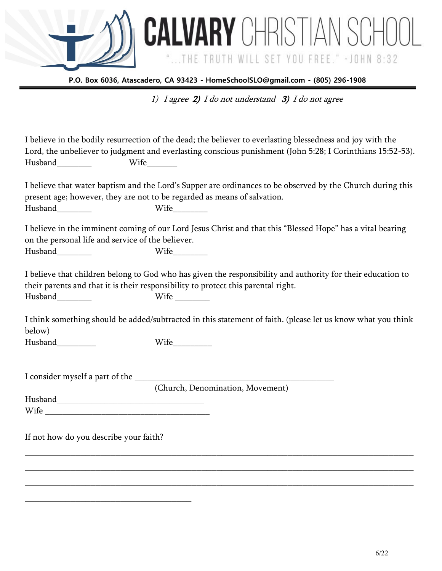\_\_\_\_\_\_\_\_\_\_\_\_\_\_\_\_\_\_\_\_\_\_\_\_\_\_\_\_\_\_\_\_\_

**P.O. Box 6036, Atascadero, CA 93423 - HomeSchoolSLO@gmail.com - (805) 296-1908** 

1) I agree 2) I do not understand 3) I do not agree

**CALVARY** CHRISTIAN SCHO

"...THE TRUTH WILL SET YOU FREE." - JOHN 8:32

|                                                                       | I believe in the bodily resurrection of the dead; the believer to everlasting blessedness and joy with the<br>Lord, the unbeliever to judgment and everlasting conscious punishment (John 5:28; I Corinthians 15:52-53). |
|-----------------------------------------------------------------------|--------------------------------------------------------------------------------------------------------------------------------------------------------------------------------------------------------------------------|
| Husband________                                                       | I believe that water baptism and the Lord's Supper are ordinances to be observed by the Church during this<br>present age; however, they are not to be regarded as means of salvation.                                   |
| on the personal life and service of the believer.<br>Husband_________ | I believe in the imminent coming of our Lord Jesus Christ and that this "Blessed Hope" has a vital bearing<br>${\large\bf Wife}\underline{\hspace{1cm}}$                                                                 |
| Husband________                                                       | I believe that children belong to God who has given the responsibility and authority for their education to<br>their parents and that it is their responsibility to protect this parental right.                         |
| below)                                                                | I think something should be added/subtracted in this statement of faith. (please let us know what you think                                                                                                              |
| Husband__________                                                     |                                                                                                                                                                                                                          |
|                                                                       |                                                                                                                                                                                                                          |
|                                                                       | (Church, Denomination, Movement)                                                                                                                                                                                         |
| If not how do you describe your faith?                                |                                                                                                                                                                                                                          |
|                                                                       |                                                                                                                                                                                                                          |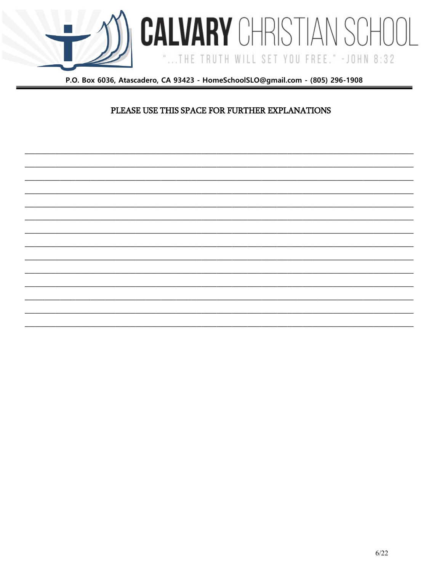

**CALVARY** CHRISTIAN SCH

... THE TRUTH WILL SET YOU FREE." - JOHN 8:32

### PLEASE USE THIS SPACE FOR FURTHER EXPLANATIONS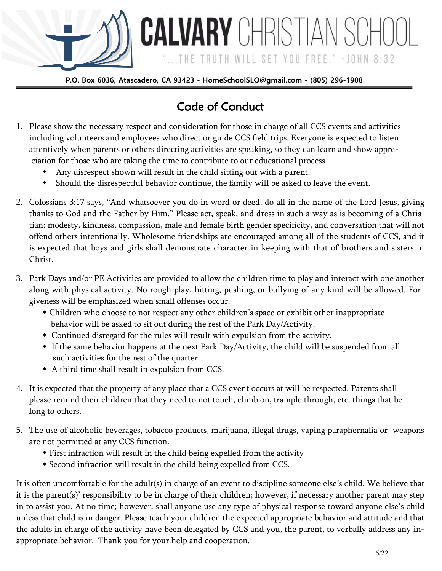

... THE TRUTH WILL SET YOU FREE." - JOHN 8:32

# Code of Conduct

- 1. Please show the necessary respect and consideration for those in charge of all CCS events and activities including volunteers and employees who direct or guide CCS field trips. Everyone is expected to listen attentively when parents or others directing activities are speaking, so they can learn and show appre ciation for those who are taking the time to contribute to our educational process.
	- Any disrespect shown will result in the child sitting out with a parent.
	- Should the disrespectful behavior continue, the family will be asked to leave the event.
- 2. Colossians 3:17 says, "And whatsoever you do in word or deed, do all in the name of the Lord Jesus, giving thanks to God and the Father by Him." Please act, speak, and dress in such a way as is becoming of a Christian: modesty, kindness, compassion, male and female birth gender specificity, and conversation that will not offend others intentionally. Wholesome friendships are encouraged among all of the students of CCS, and it is expected that boys and girls shall demonstrate character in keeping with that of brothers and sisters in Christ.
- 3. Park Days and/or PE Activities are provided to allow the children time to play and interact with one another along with physical activity. No rough play, hitting, pushing, or bullying of any kind will be allowed. Forgiveness will be emphasized when small offenses occur.
	- Children who choose to not respect any other children's space or exhibit other inappropriate behavior will be asked to sit out during the rest of the Park Day/Activity.
	- Continued disregard for the rules will result with expulsion from the activity.
	- If the same behavior happens at the next Park Day/Activity, the child will be suspended from all such activities for the rest of the quarter.
	- A third time shall result in expulsion from CCS.
- 4. It is expected that the property of any place that a CCS event occurs at will be respected. Parents shall please remind their children that they need to not touch, climb on, trample through, etc. things that be long to others.
- 5. The use of alcoholic beverages, tobacco products, marijuana, illegal drugs, vaping paraphernalia or weapons are not permitted at any CCS function.
	- First infraction will result in the child being expelled from the activity
	- Second infraction will result in the child being expelled from CCS.

It is often uncomfortable for the adult(s) in charge of an event to discipline someone else's child. We believe that it is the parent(s)' responsibility to be in charge of their children; however, if necessary another parent may step in to assist you. At no time; however, shall anyone use any type of physical response toward anyone else's child unless that child is in danger. Please teach your children the expected appropriate behavior and attitude and that the adults in charge of the activity have been delegated by CCS and you, the parent, to verbally address any inappropriate behavior. Thank you for your help and cooperation.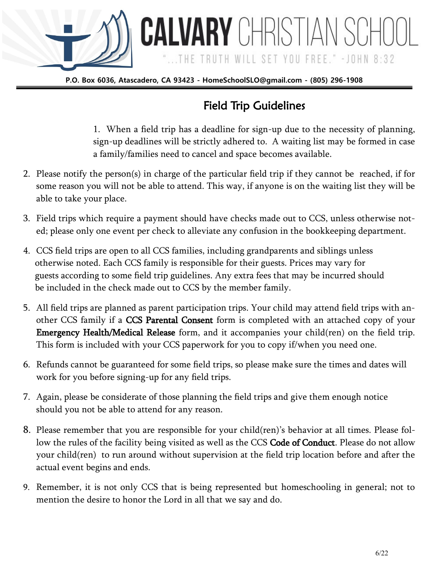

# Field Trip Guidelines

**CALVARY** CHRISTIAN SCH

...THE TRUTH WILL SET YOU FREE." -JOHN 8:32

1. When a field trip has a deadline for sign-up due to the necessity of planning, sign-up deadlines will be strictly adhered to. A waiting list may be formed in case a family/families need to cancel and space becomes available.

- 2. Please notify the person(s) in charge of the particular field trip if they cannot be reached, if for some reason you will not be able to attend. This way, if anyone is on the waiting list they will be able to take your place.
- 3. Field trips which require a payment should have checks made out to CCS, unless otherwise noted; please only one event per check to alleviate any confusion in the bookkeeping department.
- 4. CCS field trips are open to all CCS families, including grandparents and siblings unless otherwise noted. Each CCS family is responsible for their guests. Prices may vary for guests according to some field trip guidelines. Any extra fees that may be incurred should be included in the check made out to CCS by the member family.
- 5. All field trips are planned as parent participation trips. Your child may attend field trips with another CCS family if a CCS Parental Consent form is completed with an attached copy of your Emergency Health/Medical Release form, and it accompanies your child(ren) on the field trip. This form is included with your CCS paperwork for you to copy if/when you need one.
- 6. Refunds cannot be guaranteed for some field trips, so please make sure the times and dates will work for you before signing-up for any field trips.
- 7. Again, please be considerate of those planning the field trips and give them enough notice should you not be able to attend for any reason.
- 8. Please remember that you are responsible for your child(ren)'s behavior at all times. Please follow the rules of the facility being visited as well as the CCS Code of Conduct. Please do not allow your child(ren) to run around without supervision at the field trip location before and after the actual event begins and ends.
- 9. Remember, it is not only CCS that is being represented but homeschooling in general; not to mention the desire to honor the Lord in all that we say and do.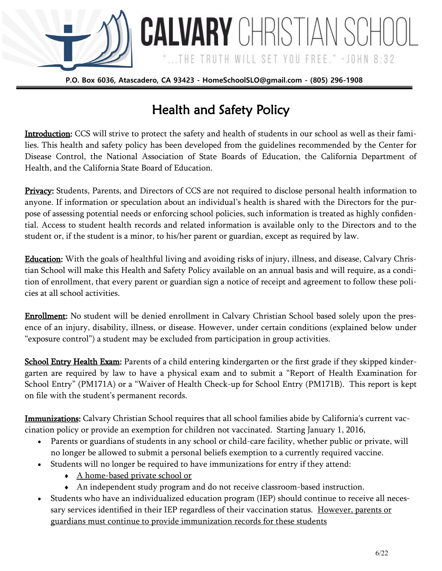

**CALVARY** CHRISTIAN SCH

...THE TRUTH WILL SET YOU FREE." -JOHN 8:32

# Health and Safety Policy

Introduction: CCS will strive to protect the safety and health of students in our school as well as their families. This health and safety policy has been developed from the guidelines recommended by the Center for Disease Control, the National Association of State Boards of Education, the California Department of Health, and the California State Board of Education.

Privacy: Students, Parents, and Directors of CCS are not required to disclose personal health information to anyone. If information or speculation about an individual's health is shared with the Directors for the purpose of assessing potential needs or enforcing school policies, such information is treated as highly confidential. Access to student health records and related information is available only to the Directors and to the student or, if the student is a minor, to his/her parent or guardian, except as required by law.

Education: With the goals of healthful living and avoiding risks of injury, illness, and disease, Calvary Christian School will make this Health and Safety Policy available on an annual basis and will require, as a condition of enrollment, that every parent or guardian sign a notice of receipt and agreement to follow these policies at all school activities.

**Enrollment:** No student will be denied enrollment in Calvary Christian School based solely upon the presence of an injury, disability, illness, or disease. However, under certain conditions (explained below under "exposure control") a student may be excluded from participation in group activities.

School Entry Health Exam: Parents of a child entering kindergarten or the first grade if they skipped kindergarten are required by law to have a physical exam and to submit a "Report of Health Examination for School Entry" (PM171A) or a "Waiver of Health Check-up for School Entry (PM171B). This report is kept on file with the student's permanent records.

Immunizations: Calvary Christian School requires that all school families abide by California's current vaccination policy or provide an exemption for children not vaccinated. Starting January 1, 2016,

- Parents or guardians of students in any school or child-care facility, whether public or private, will no longer be allowed to submit a personal beliefs exemption to a currently required vaccine.
- Students will no longer be required to have immunizations for entry if they attend:
	- A home-based private school or
	- An independent study program and do not receive classroom-based instruction.
- Students who have an individualized education program (IEP) should continue to receive all necessary services identified in their IEP regardless of their vaccination status. However, parents or guardians must continue to provide immunization records for these students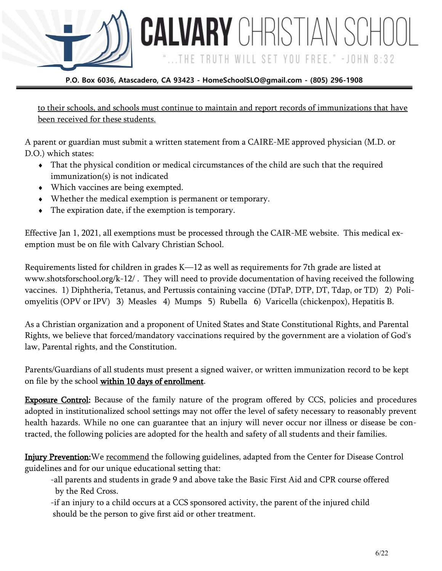

to their schools, and schools must continue to maintain and report records of immunizations that have been received for these students.

...THE TRUTH WILL SET YOU FREE." -JOHN 8:32

A parent or guardian must submit a written statement from a CAIRE-ME approved physician (M.D. or D.O.) which states:

- That the physical condition or medical circumstances of the child are such that the required immunization(s) is not indicated
- Which vaccines are being exempted.
- Whether the medical exemption is permanent or temporary.
- The expiration date, if the exemption is temporary.

Effective Jan 1, 2021, all exemptions must be processed through the CAIR-ME website. This medical exemption must be on file with Calvary Christian School.

Requirements listed for children in grades K—12 as well as requirements for 7th grade are listed at www.shotsforschool.org/k-12/ . They will need to provide documentation of having received the following vaccines. 1) Diphtheria, Tetanus, and Pertussis containing vaccine (DTaP, DTP, DT, Tdap, or TD) 2) Poliomyelitis (OPV or IPV) 3) Measles 4) Mumps 5) Rubella 6) Varicella (chickenpox), Hepatitis B.

As a Christian organization and a proponent of United States and State Constitutional Rights, and Parental Rights, we believe that forced/mandatory vaccinations required by the government are a violation of God's law, Parental rights, and the Constitution.

Parents/Guardians of all students must present a signed waiver, or written immunization record to be kept on file by the school within 10 days of enrollment.

**Exposure Control:** Because of the family nature of the program offered by CCS, policies and procedures adopted in institutionalized school settings may not offer the level of safety necessary to reasonably prevent health hazards. While no one can guarantee that an injury will never occur nor illness or disease be contracted, the following policies are adopted for the health and safety of all students and their families.

Injury Prevention:We recommend the following guidelines, adapted from the Center for Disease Control guidelines and for our unique educational setting that:

-all parents and students in grade 9 and above take the Basic First Aid and CPR course offered by the Red Cross.

-if an injury to a child occurs at a CCS sponsored activity, the parent of the injured child should be the person to give first aid or other treatment.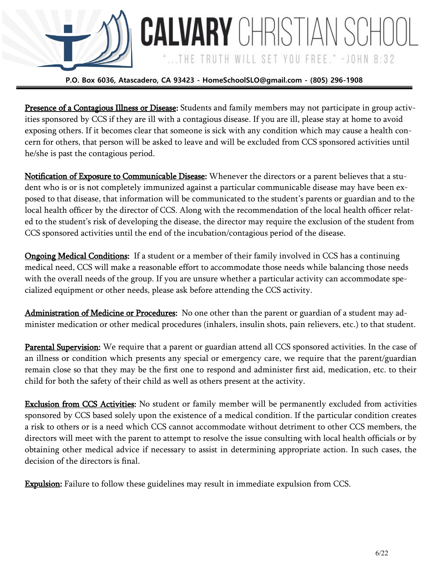

**CALVARY** CHRISTIAN SCH

...THE TRUTH WILL SET YOU FREE." -JOHN 8:32

Presence of a Contagious Illness or Disease: Students and family members may not participate in group activities sponsored by CCS if they are ill with a contagious disease. If you are ill, please stay at home to avoid exposing others. If it becomes clear that someone is sick with any condition which may cause a health concern for others, that person will be asked to leave and will be excluded from CCS sponsored activities until he/she is past the contagious period.

Notification of Exposure to Communicable Disease: Whenever the directors or a parent believes that a student who is or is not completely immunized against a particular communicable disease may have been exposed to that disease, that information will be communicated to the student's parents or guardian and to the local health officer by the director of CCS. Along with the recommendation of the local health officer related to the student's risk of developing the disease, the director may require the exclusion of the student from CCS sponsored activities until the end of the incubation/contagious period of the disease.

Ongoing Medical Conditions: If a student or a member of their family involved in CCS has a continuing medical need, CCS will make a reasonable effort to accommodate those needs while balancing those needs with the overall needs of the group. If you are unsure whether a particular activity can accommodate specialized equipment or other needs, please ask before attending the CCS activity.

Administration of Medicine or Procedures: No one other than the parent or guardian of a student may administer medication or other medical procedures (inhalers, insulin shots, pain relievers, etc.) to that student.

Parental Supervision: We require that a parent or guardian attend all CCS sponsored activities. In the case of an illness or condition which presents any special or emergency care, we require that the parent/guardian remain close so that they may be the first one to respond and administer first aid, medication, etc. to their child for both the safety of their child as well as others present at the activity.

Exclusion from CCS Activities: No student or family member will be permanently excluded from activities sponsored by CCS based solely upon the existence of a medical condition. If the particular condition creates a risk to others or is a need which CCS cannot accommodate without detriment to other CCS members, the directors will meet with the parent to attempt to resolve the issue consulting with local health officials or by obtaining other medical advice if necessary to assist in determining appropriate action. In such cases, the decision of the directors is final.

**Expulsion:** Failure to follow these guidelines may result in immediate expulsion from CCS.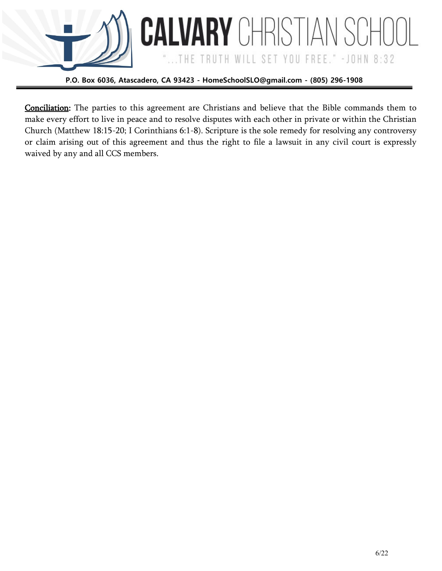

...THE TRUTH WILL SET YOU FREE." - JOHN 8:32

Conciliation: The parties to this agreement are Christians and believe that the Bible commands them to make every effort to live in peace and to resolve disputes with each other in private or within the Christian Church (Matthew 18:15-20; I Corinthians 6:1-8). Scripture is the sole remedy for resolving any controversy or claim arising out of this agreement and thus the right to file a lawsuit in any civil court is expressly waived by any and all CCS members.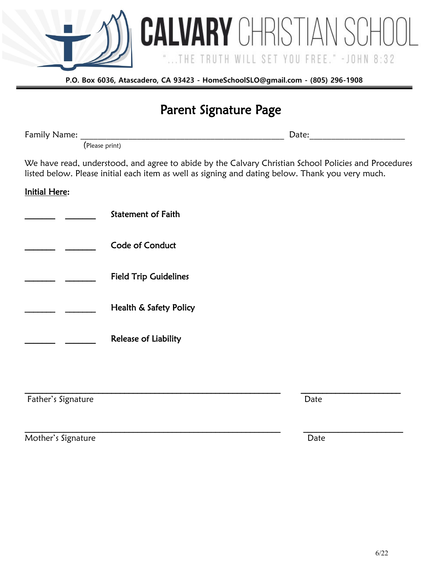

## Parent Signature Page

Family Name: The contract of the contract of the contract of the contract of the contract of the contract of the contract of the contract of the contract of the contract of the contract of the contract of the contract of t

(Please print)

We have read, understood, and agree to abide by the Calvary Christian School Policies and Procedures listed below. Please initial each item as well as signing and dating below. Thank you very much.

 $\mathcal{L}_\mathcal{L} = \mathcal{L}_\mathcal{L} = \mathcal{L}_\mathcal{L} = \mathcal{L}_\mathcal{L} = \mathcal{L}_\mathcal{L} = \mathcal{L}_\mathcal{L} = \mathcal{L}_\mathcal{L} = \mathcal{L}_\mathcal{L} = \mathcal{L}_\mathcal{L} = \mathcal{L}_\mathcal{L} = \mathcal{L}_\mathcal{L} = \mathcal{L}_\mathcal{L} = \mathcal{L}_\mathcal{L} = \mathcal{L}_\mathcal{L} = \mathcal{L}_\mathcal{L} = \mathcal{L}_\mathcal{L} = \mathcal{L}_\mathcal{L}$ 

 $\mathcal{L}_\mathcal{L} = \mathcal{L}_\mathcal{L} = \mathcal{L}_\mathcal{L} = \mathcal{L}_\mathcal{L} = \mathcal{L}_\mathcal{L} = \mathcal{L}_\mathcal{L} = \mathcal{L}_\mathcal{L} = \mathcal{L}_\mathcal{L} = \mathcal{L}_\mathcal{L} = \mathcal{L}_\mathcal{L} = \mathcal{L}_\mathcal{L} = \mathcal{L}_\mathcal{L} = \mathcal{L}_\mathcal{L} = \mathcal{L}_\mathcal{L} = \mathcal{L}_\mathcal{L} = \mathcal{L}_\mathcal{L} = \mathcal{L}_\mathcal{L}$ 

### Initial Here:

| <b>Statement of Faith</b>    |
|------------------------------|
| Code of Conduct              |
| <b>Field Trip Guidelines</b> |
| Health & Safety Policy       |
| <b>Release of Liability</b>  |

**Father's Signature Date** 

Mother's Signature Date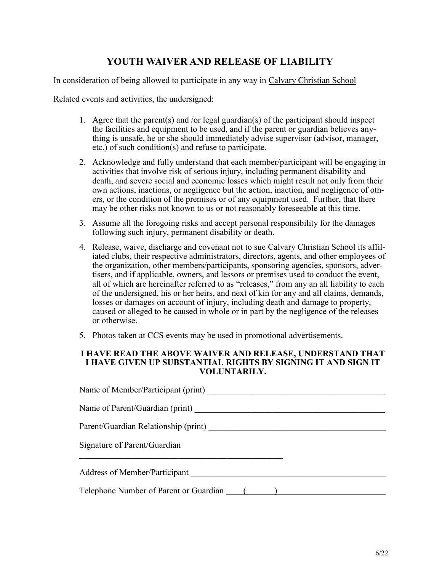### **YOUTH WAIVER AND RELEASE OF LIABILITY**

In consideration of being allowed to participate in any way in Calvary Christian School

Related events and activities, the undersigned:

- 1. Agree that the parent(s) and /or legal guardian(s) of the participant should inspect the facilities and equipment to be used, and if the parent or guardian believes anything is unsafe, he or she should immediately advise supervisor (advisor, manager, etc.) of such condition(s) and refuse to participate.
- 2. Acknowledge and fully understand that each member/participant will be engaging in activities that involve risk of serious injury, including permanent disability and death, and severe social and economic losses which might result not only from their own actions, inactions, or negligence but the action, inaction, and negligence of others, or the condition of the premises or of any equipment used. Further, that there may be other risks not known to us or not reasonably foreseeable at this time.
- 3. Assume all the foregoing risks and accept personal responsibility for the damages following such injury, permanent disability or death.
- 4. Release, waive, discharge and covenant not to sue Calvary Christian School its affiliated clubs, their respective administrators, directors, agents, and other employees of the organization, other members/participants, sponsoring agencies, sponsors, advertisers, and if applicable, owners, and lessors or premises used to conduct the event, all of which are hereinafter referred to as "releases," from any an all liability to each of the undersigned, his or her heirs, and next of kin for any and all claims, demands, losses or damages on account of injury, including death and damage to property, caused or alleged to be caused in whole or in part by the negligence of the releases or otherwise.
- 5. Photos taken at CCS events may be used in promotional advertisements.

### **I HAVE READ THE ABOVE WAIVER AND RELEASE, UNDERSTAND THAT I HAVE GIVEN UP SUBSTANTIAL RIGHTS BY SIGNING IT AND SIGN IT VOLUNTARILY.**

| Name of Member/Participant (print)            |  |  |  |
|-----------------------------------------------|--|--|--|
| Name of Parent/Guardian (print)               |  |  |  |
| Parent/Guardian Relationship (print)          |  |  |  |
| Signature of Parent/Guardian                  |  |  |  |
| Address of Member/Participant                 |  |  |  |
| Telephone Number of Parent or Guardian (1997) |  |  |  |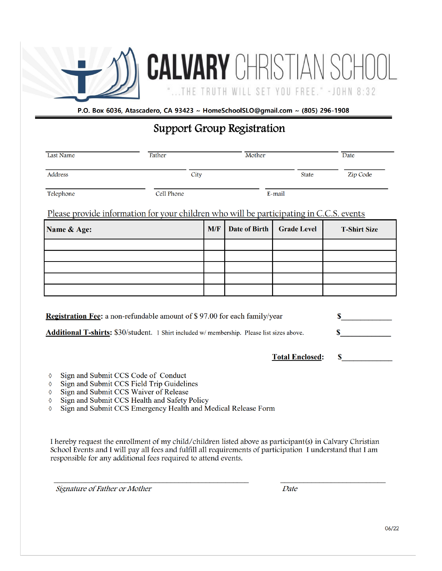

**CALVARY CHRISTIAN** ...THE TRUTH WILL SET YOU FREE." - JOHN 8:32

P.O. Box 6036, Atascadero, CA 93423 ~ HomeSchoolSLO@gmail.com ~ (805) 296-1908

### **Support Group Registration**

| Last Name                                                                                         | Father     |     | Mother               |                        | Date                |
|---------------------------------------------------------------------------------------------------|------------|-----|----------------------|------------------------|---------------------|
| Address                                                                                           | City       |     |                      | <b>State</b>           | Zip Code            |
| Telephone                                                                                         | Cell Phone |     |                      | E-mail                 |                     |
| Please provide information for your children who will be participating in C.C.S. events           |            |     |                      |                        |                     |
| Name & Age:                                                                                       |            | M/F | <b>Date of Birth</b> | <b>Grade Level</b>     | <b>T-Shirt Size</b> |
|                                                                                                   |            |     |                      |                        |                     |
|                                                                                                   |            |     |                      |                        |                     |
|                                                                                                   |            |     |                      |                        |                     |
|                                                                                                   |            |     |                      |                        |                     |
|                                                                                                   |            |     |                      |                        |                     |
| <b>Registration Fee:</b> a non-refundable amount of \$97.00 for each family/year                  |            |     |                      |                        | \$                  |
|                                                                                                   |            |     |                      |                        |                     |
| Additional T-shirts: \$30/student. 1 Shirt included w/ membership. Please list sizes above.<br>\$ |            |     |                      |                        |                     |
|                                                                                                   |            |     |                      | <b>Total Enclosed:</b> | \$                  |

- $\Diamond$ Sign and Submit CCS Code of Conduct
- Sign and Submit CCS Field Trip Guidelines  $\Diamond$
- Sign and Submit CCS Waiver of Release  $\Diamond$
- Sign and Submit CCS Health and Safety Policy  $\Diamond$
- Sign and Submit CCS Emergency Health and Medical Release Form  $\Diamond$

I hereby request the enrollment of my child/children listed above as participant(s) in Calvary Christian School Events and I will pay all fees and fulfill all requirements of participation I understand that I am responsible for any additional fees required to attend events.

Signature of Father or Mother

Date

6/22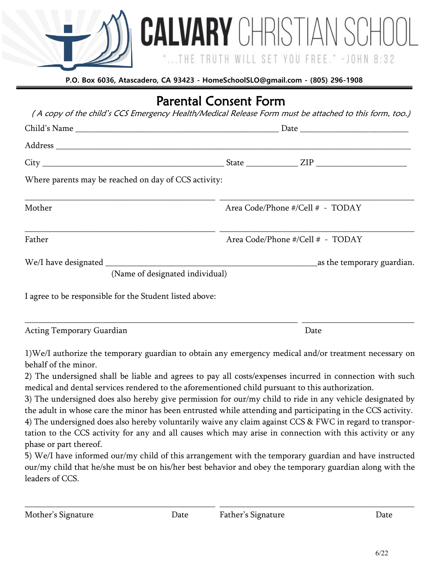

TRUTH WIL

**CALVARY** CHRISTIAN SCH

YOU FREE." - JOHN

|                                                         | <b>Parental Consent Form</b>                                                                          |  |
|---------------------------------------------------------|-------------------------------------------------------------------------------------------------------|--|
|                                                         | (A copy of the child's CCS Emergency Health/Medical Release Form must be attached to this form, too.) |  |
|                                                         |                                                                                                       |  |
|                                                         |                                                                                                       |  |
|                                                         |                                                                                                       |  |
| Where parents may be reached on day of CCS activity:    |                                                                                                       |  |
| Mother                                                  | Area Code/Phone #/Cell # - TODAY                                                                      |  |
| Father                                                  | Area Code/Phone #/Cell # - TODAY                                                                      |  |
| (Name of designated individual)                         | as the temporary guardian.                                                                            |  |
| I agree to be responsible for the Student listed above: |                                                                                                       |  |
|                                                         |                                                                                                       |  |

Acting Temporary Guardian **Date** Date **Date** Date **Date** 

1)We/I authorize the temporary guardian to obtain any emergency medical and/or treatment necessary on behalf of the minor.

2) The undersigned shall be liable and agrees to pay all costs/expenses incurred in connection with such medical and dental services rendered to the aforementioned child pursuant to this authorization.

3) The undersigned does also hereby give permission for our/my child to ride in any vehicle designated by the adult in whose care the minor has been entrusted while attending and participating in the CCS activity.

4) The undersigned does also hereby voluntarily waive any claim against CCS & FWC in regard to transportation to the CCS activity for any and all causes which may arise in connection with this activity or any phase or part thereof.

5) We/I have informed our/my child of this arrangement with the temporary guardian and have instructed our/my child that he/she must be on his/her best behavior and obey the temporary guardian along with the leaders of CCS.

\_\_\_\_\_\_\_\_\_\_\_\_\_\_\_\_\_\_\_\_\_\_\_\_\_\_\_\_\_\_\_\_\_\_\_\_\_\_\_\_\_\_\_\_ \_\_\_\_\_\_\_\_\_\_\_\_\_\_\_\_\_\_\_\_\_\_\_\_\_\_\_\_\_\_\_\_\_\_\_\_\_\_\_\_\_\_\_\_\_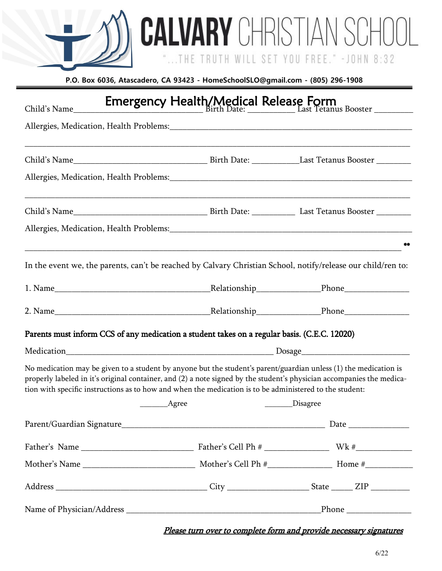**CALVARY** CHRISTIAN SCHOOL

"...THE TRUTH WILL SET YOU FREE." - JOHN 8:32

| Emergency Health/Medical Release Form<br>Elast Tetanus Booster<br>Child's Name                                                                                                                                                                                                                                                                       |  |                  |  |
|------------------------------------------------------------------------------------------------------------------------------------------------------------------------------------------------------------------------------------------------------------------------------------------------------------------------------------------------------|--|------------------|--|
|                                                                                                                                                                                                                                                                                                                                                      |  |                  |  |
|                                                                                                                                                                                                                                                                                                                                                      |  |                  |  |
|                                                                                                                                                                                                                                                                                                                                                      |  |                  |  |
|                                                                                                                                                                                                                                                                                                                                                      |  |                  |  |
|                                                                                                                                                                                                                                                                                                                                                      |  | **               |  |
| In the event we, the parents, can't be reached by Calvary Christian School, notify/release our child/ren to:                                                                                                                                                                                                                                         |  |                  |  |
|                                                                                                                                                                                                                                                                                                                                                      |  |                  |  |
|                                                                                                                                                                                                                                                                                                                                                      |  |                  |  |
| Parents must inform CCS of any medication a student takes on a regular basis. (C.E.C. 12020)                                                                                                                                                                                                                                                         |  |                  |  |
|                                                                                                                                                                                                                                                                                                                                                      |  |                  |  |
| No medication may be given to a student by anyone but the student's parent/guardian unless (1) the medication is<br>properly labeled in it's original container, and (2) a note signed by the student's physician accompanies the medica-<br>tion with specific instructions as to how and when the medication is to be administered to the student: |  |                  |  |
| ___________Agree                                                                                                                                                                                                                                                                                                                                     |  | ________Disagree |  |
|                                                                                                                                                                                                                                                                                                                                                      |  |                  |  |
|                                                                                                                                                                                                                                                                                                                                                      |  |                  |  |
|                                                                                                                                                                                                                                                                                                                                                      |  |                  |  |
|                                                                                                                                                                                                                                                                                                                                                      |  |                  |  |
|                                                                                                                                                                                                                                                                                                                                                      |  |                  |  |

Please turn over to complete form and provide necessary signatures